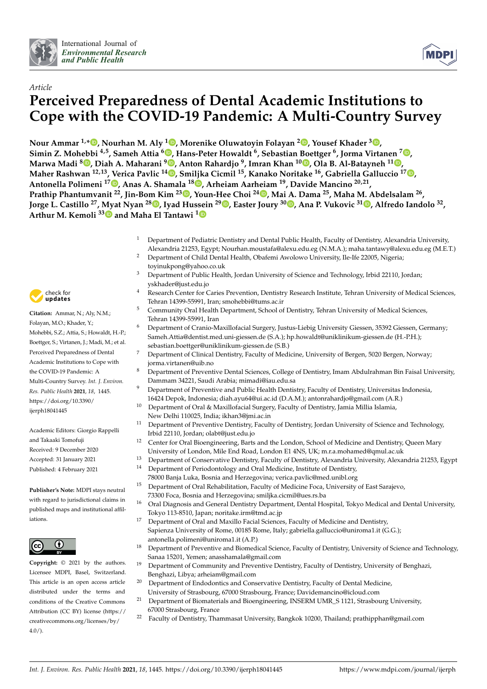



# *Article* **Perceived Preparedness of Dental Academic Institutions to Cope with the COVID-19 Pandemic: A Multi-Country Survey**

**Nour Ammar 1,[\\*](https://orcid.org/0000-0002-7654-2493) , Nourhan M. Aly <sup>1</sup> [,](https://orcid.org/0000-0002-8729-2485) Morenike Oluwatoyin Folayan <sup>2</sup> [,](https://orcid.org/0000-0002-9008-7730) Yousef Khader [3](https://orcid.org/0000-0002-7830-6857) ,**  $\bullet$  Simin Z. Mohebbi  $^{4,5}$  $^{4,5}$  $^{4,5}$ , Sameh Attia  $^{6}$  , Hans-Peter Howaldt  $^{6}$ , Sebastian Boettger  $^{6}$ , Jorma Virtanen  $^{7}$   $\bullet$ **Marwa Madi <sup>8</sup> [,](https://orcid.org/0000-0002-3014-0405) Diah A. Maharani <sup>9</sup> [,](https://orcid.org/0000-0001-6713-786X) Anton Rahardjo <sup>9</sup> , Imran Khan <sup>10</sup> [,](https://orcid.org/0000-0001-5017-412X) Ola B. Al-Batayneh <sup>11</sup> [,](https://orcid.org/0000-0003-1670-497X) Maher Rashwan 12,13, Verica Pavlic 1[4](https://orcid.org/0000-0001-6737-6449) , Smiljka Cicmil <sup>15</sup>, Kanako Noritake <sup>16</sup>, Gabriella Galluccio <sup>17</sup> [,](https://orcid.org/0000-0002-6876-8839) Antonella Polimeni <sup>17</sup> [,](https://orcid.org/0000-0002-2679-7607) Anas A. Shamala <sup>18</sup> [,](https://orcid.org/0000-0003-3439-5453) Arheiam Aarheiam <sup>19</sup>, Davide Mancino 20,21 , Prathip Phantumvanit <sup>22</sup>, Jin-Bom Kim <sup>23</sup> [,](https://orcid.org/0000-0001-8619-2741) Youn-Hee Choi <sup>24</sup> [,](https://orcid.org/0000-0001-5712-8097) Mai A. Dama <sup>25</sup>, Maha M. Abdelsalam <sup>26</sup> ,** Jorge L. Castillo <sup>27</sup>[,](https://orcid.org/0000-0002-2983-0679) Myat Nyan <sup>28</sup>. Iyad Hussein <sup>29</sup>. Easter Joury <sup>30</sup>. Ana P. Vukovic <sup>3[1](https://orcid.org/0000-0002-6880-6153)</sup>. Alfredo Iandolo <sup>32</sup>, **Arthur M. Kemoli 3[3](https://orcid.org/0000-0002-1965-6486) and Maha El Tantawi [1](https://orcid.org/0000-0003-4989-6584)**

- Department of Pediatric Dentistry and Dental Public Health, Faculty of Dentistry, Alexandria University, Alexandria 21253, Egypt; Nourhan.moustafa@alexu.edu.eg (N.M.A.); maha.tantawy@alexu.edu.eg (M.E.T.)
- <sup>2</sup> Department of Child Dental Health, Obafemi Awolowo University, Ile-Ife 22005, Nigeria; toyinukpong@yahoo.co.uk
- <sup>3</sup> Department of Public Health, Jordan University of Science and Technology, Irbid 22110, Jordan; yskhader@just.edu.jo
- <sup>4</sup> Research Center for Caries Prevention, Dentistry Research Institute, Tehran University of Medical Sciences, Tehran 14399-55991, Iran; smohebbi@tums.ac.ir
- <sup>5</sup> Community Oral Health Department, School of Dentistry, Tehran University of Medical Sciences, Tehran 14399-55991, Iran
- <sup>6</sup> Department of Cranio-Maxillofacial Surgery, Justus-Liebig University Giessen, 35392 Giessen, Germany; Sameh.Attia@dentist.med.uni-giessen.de (S.A.); hp.howaldt@uniklinikum-giessen.de (H.-P.H.); sebastian.boettger@uniklinikum-giessen.de (S.B.)
- <sup>7</sup> Department of Clinical Dentistry, Faculty of Medicine, University of Bergen, 5020 Bergen, Norway; jorma.virtanen@uib.no
- <sup>8</sup> Department of Preventive Dental Sciences, College of Dentistry, Imam Abdulrahman Bin Faisal University, Dammam 34221, Saudi Arabia; mimadi@iau.edu.sa
- <sup>9</sup> Department of Preventive and Public Health Dentistry, Faculty of Dentistry, Universitas Indonesia, 16424 Depok, Indonesia; diah.ayu64@ui.ac.id (D.A.M.); antonrahardjo@gmail.com (A.R.)
- <sup>10</sup> Department of Oral & Maxillofacial Surgery, Faculty of Dentistry, Jamia Millia Islamia,
	- New Delhi 110025, India; ikhan3@jmi.ac.in
- <sup>11</sup> Department of Preventive Dentistry, Faculty of Dentistry, Jordan University of Science and Technology, Irbid 22110, Jordan; olabt@just.edu.jo
- <sup>12</sup> Center for Oral Bioengineering, Barts and the London, School of Medicine and Dentistry, Queen Mary University of London, Mile End Road, London E1 4NS, UK; m.r.a.mohamed@qmul.ac.uk
- <sup>13</sup> Department of Conservative Dentistry, Faculty of Dentistry, Alexandria University, Alexandria 21253, Egypt
- <sup>14</sup> Department of Periodontology and Oral Medicine, Institute of Dentistry, 78000 Banja Luka, Bosnia and Herzegovina; verica.pavlic@med.unibl.org
	- <sup>15</sup> Department of Oral Rehabilitation, Faculty of Medicine Foca, University of East Sarajevo, 73300 Foca, Bosnia and Herzegovina; smiljka.cicmil@ues.rs.ba
	- <sup>16</sup> Oral Diagnosis and General Dentistry Department, Dental Hospital, Tokyo Medical and Dental University, Tokyo 113-8510, Japan; noritake.irm@tmd.ac.jp
	- <sup>17</sup> Department of Oral and Maxillo Facial Sciences, Faculty of Medicine and Dentistry, Sapienza University of Rome, 00185 Rome, Italy; gabriella.galluccio@uniroma1.it (G.G.); antonella.polimeni@uniroma1.it (A.P.)
	- <sup>18</sup> Department of Preventive and Biomedical Science, Faculty of Dentistry, University of Science and Technology, Sanaa 15201, Yemen; anasshamala@gmail.com
	- <sup>19</sup> Department of Community and Preventive Dentistry, Faculty of Dentistry, University of Benghazi, Benghazi, Libya; arheiam@gmail.com
	- <sup>20</sup> Department of Endodontics and Conservative Dentistry, Faculty of Dental Medicine,
	- University of Strasbourg, 67000 Strasbourg, France; Davidemancino@icloud.com <sup>21</sup> Department of Biomaterials and Bioengineering, INSERM UMR\_S 1121, Strasbourg University,
	- 67000 Strasbourg, France
	- <sup>22</sup> Faculty of Dentistry, Thammasat University, Bangkok 10200, Thailand; prathipphan@gmail.com



**Citation:** Ammar, N.; Aly, N.M.; Folayan, M.O.; Khader, Y.; Mohebbi, S.Z.; Attia, S.; Howaldt, H.-P.; Boettger, S.; Virtanen, J.; Madi, M.; et al. Perceived Preparedness of Dental Academic Institutions to Cope with the COVID-19 Pandemic: A Multi-Country Survey. *Int. J. Environ. Res. Public Health* **2021**, *18*, 1445. [https://doi.org/10.3390/](https://doi.org/10.3390/ijerph18041445) [ijerph18041445](https://doi.org/10.3390/ijerph18041445)

Academic Editors: Giorgio Rappelli and Takaaki Tomofuji Received: 9 December 2020 Accepted: 31 January 2021 Published: 4 February 2021

**Publisher's Note:** MDPI stays neutral with regard to jurisdictional claims in published maps and institutional affiliations.



**Copyright:** © 2021 by the authors. Licensee MDPI, Basel, Switzerland. This article is an open access article distributed under the terms and conditions of the Creative Commons Attribution (CC BY) license (https:/[/](https://creativecommons.org/licenses/by/4.0/) [creativecommons.org/licenses/by/](https://creativecommons.org/licenses/by/4.0/)  $4.0/$ ).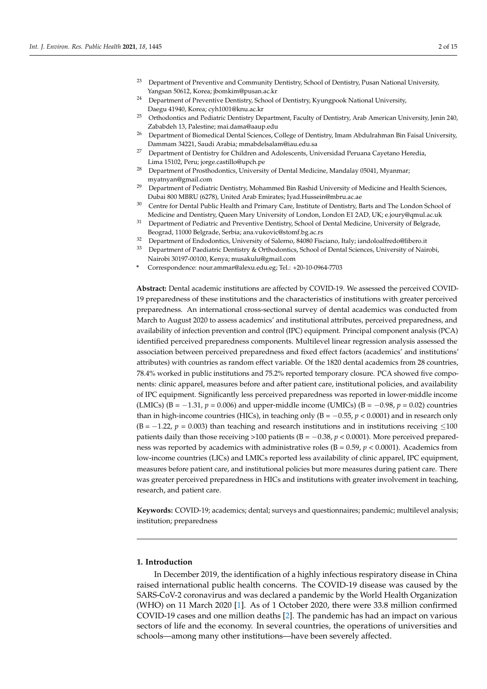- <sup>23</sup> Department of Preventive and Community Dentistry, School of Dentistry, Pusan National University, Yangsan 50612, Korea; jbomkim@pusan.ac.kr
- <sup>24</sup> Department of Preventive Dentistry, School of Dentistry, Kyungpook National University, Daegu 41940, Korea; cyh1001@knu.ac.kr
- <sup>25</sup> Orthodontics and Pediatric Dentistry Department, Faculty of Dentistry, Arab American University, Jenin 240, Zababdeh 13, Palestine; mai.dama@aaup.edu
- <sup>26</sup> Department of Biomedical Dental Sciences, College of Dentistry, Imam Abdulrahman Bin Faisal University, Dammam 34221, Saudi Arabia; mmabdelsalam@iau.edu.sa
- <sup>27</sup> Department of Dentistry for Children and Adolescents, Universidad Peruana Cayetano Heredia, Lima 15102, Peru; jorge.castillo@upch.pe
- <sup>28</sup> Department of Prosthodontics, University of Dental Medicine, Mandalay 05041, Myanmar; myatnyan@gmail.com
- <sup>29</sup> Department of Pediatric Dentistry, Mohammed Bin Rashid University of Medicine and Health Sciences, Dubai 800 MBRU (6278), United Arab Emirates; Iyad.Hussein@mbru.ac.ae
- <sup>30</sup> Centre for Dental Public Health and Primary Care, Institute of Dentistry, Barts and The London School of Medicine and Dentistry, Queen Mary University of London, London E1 2AD, UK; e.joury@qmul.ac.uk
- <sup>31</sup> Department of Pediatric and Preventive Dentistry, School of Dental Medicine, University of Belgrade, Beograd, 11000 Belgrade, Serbia; ana.vukovic@stomf.bg.ac.rs
- <sup>32</sup> Department of Endodontics, University of Salerno, 84080 Fisciano, Italy; iandoloalfredo@libero.it
- <sup>33</sup> Department of Paediatric Dentistry & Orthodontics, School of Dental Sciences, University of Nairobi, Nairobi 30197-00100, Kenya; musakulu@gmail.com
- **\*** Correspondence: nour.ammar@alexu.edu.eg; Tel.: +20-10-0964-7703

**Abstract:** Dental academic institutions are affected by COVID-19. We assessed the perceived COVID-19 preparedness of these institutions and the characteristics of institutions with greater perceived preparedness. An international cross-sectional survey of dental academics was conducted from March to August 2020 to assess academics' and institutional attributes, perceived preparedness, and availability of infection prevention and control (IPC) equipment. Principal component analysis (PCA) identified perceived preparedness components. Multilevel linear regression analysis assessed the association between perceived preparedness and fixed effect factors (academics' and institutions' attributes) with countries as random effect variable. Of the 1820 dental academics from 28 countries, 78.4% worked in public institutions and 75.2% reported temporary closure. PCA showed five components: clinic apparel, measures before and after patient care, institutional policies, and availability of IPC equipment. Significantly less perceived preparedness was reported in lower-middle income (LMICs) (B =  $-1.31$ ,  $p = 0.006$ ) and upper-middle income (UMICs) (B =  $-0.98$ ,  $p = 0.02$ ) countries than in high-income countries (HICs), in teaching only ( $B = -0.55$ ,  $p < 0.0001$ ) and in research only  $(B = -1.22, p = 0.003)$  than teaching and research institutions and in institutions receiving ≤100 patients daily than those receiving >100 patients ( $B = -0.38$ ,  $p < 0.0001$ ). More perceived preparedness was reported by academics with administrative roles (B = 0.59, *p* < 0.0001). Academics from low-income countries (LICs) and LMICs reported less availability of clinic apparel, IPC equipment, measures before patient care, and institutional policies but more measures during patient care. There was greater perceived preparedness in HICs and institutions with greater involvement in teaching, research, and patient care.

**Keywords:** COVID-19; academics; dental; surveys and questionnaires; pandemic; multilevel analysis; institution; preparedness

#### **1. Introduction**

In December 2019, the identification of a highly infectious respiratory disease in China raised international public health concerns. The COVID-19 disease was caused by the SARS-CoV-2 coronavirus and was declared a pandemic by the World Health Organization (WHO) on 11 March 2020 [\[1\]](#page-13-0). As of 1 October 2020, there were 33.8 million confirmed COVID-19 cases and one million deaths [\[2\]](#page-13-1). The pandemic has had an impact on various sectors of life and the economy. In several countries, the operations of universities and schools—among many other institutions—have been severely affected.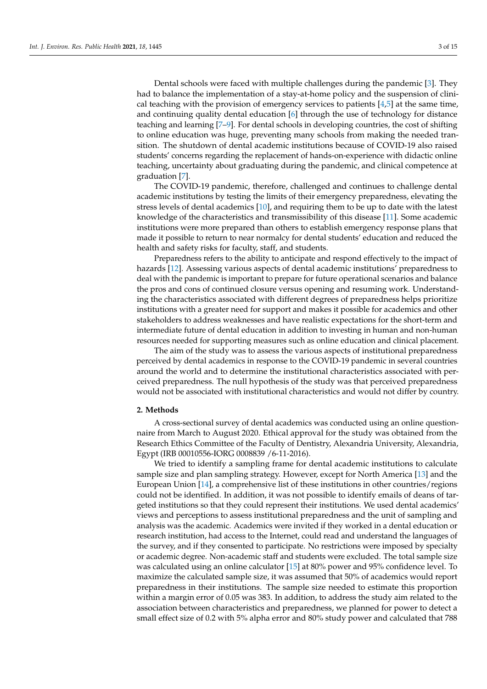Dental schools were faced with multiple challenges during the pandemic [\[3\]](#page-13-2). They had to balance the implementation of a stay-at-home policy and the suspension of clinical teaching with the provision of emergency services to patients  $[4,5]$  $[4,5]$  at the same time, and continuing quality dental education [\[6\]](#page-13-5) through the use of technology for distance teaching and learning [\[7](#page-13-6)[–9\]](#page-13-7). For dental schools in developing countries, the cost of shifting to online education was huge, preventing many schools from making the needed transition. The shutdown of dental academic institutions because of COVID-19 also raised students' concerns regarding the replacement of hands-on-experience with didactic online teaching, uncertainty about graduating during the pandemic, and clinical competence at graduation [\[7\]](#page-13-6).

The COVID-19 pandemic, therefore, challenged and continues to challenge dental academic institutions by testing the limits of their emergency preparedness, elevating the stress levels of dental academics [\[10\]](#page-13-8), and requiring them to be up to date with the latest knowledge of the characteristics and transmissibility of this disease [\[11\]](#page-13-9). Some academic institutions were more prepared than others to establish emergency response plans that made it possible to return to near normalcy for dental students' education and reduced the health and safety risks for faculty, staff, and students.

Preparedness refers to the ability to anticipate and respond effectively to the impact of hazards [\[12\]](#page-13-10). Assessing various aspects of dental academic institutions' preparedness to deal with the pandemic is important to prepare for future operational scenarios and balance the pros and cons of continued closure versus opening and resuming work. Understanding the characteristics associated with different degrees of preparedness helps prioritize institutions with a greater need for support and makes it possible for academics and other stakeholders to address weaknesses and have realistic expectations for the short-term and intermediate future of dental education in addition to investing in human and non-human resources needed for supporting measures such as online education and clinical placement.

The aim of the study was to assess the various aspects of institutional preparedness perceived by dental academics in response to the COVID-19 pandemic in several countries around the world and to determine the institutional characteristics associated with perceived preparedness. The null hypothesis of the study was that perceived preparedness would not be associated with institutional characteristics and would not differ by country.

## **2. Methods**

A cross-sectional survey of dental academics was conducted using an online questionnaire from March to August 2020. Ethical approval for the study was obtained from the Research Ethics Committee of the Faculty of Dentistry, Alexandria University, Alexandria, Egypt (IRB 00010556-IORG 0008839 /6-11-2016).

We tried to identify a sampling frame for dental academic institutions to calculate sample size and plan sampling strategy. However, except for North America [\[13\]](#page-13-11) and the European Union [\[14\]](#page-13-12), a comprehensive list of these institutions in other countries/regions could not be identified. In addition, it was not possible to identify emails of deans of targeted institutions so that they could represent their institutions. We used dental academics' views and perceptions to assess institutional preparedness and the unit of sampling and analysis was the academic. Academics were invited if they worked in a dental education or research institution, had access to the Internet, could read and understand the languages of the survey, and if they consented to participate. No restrictions were imposed by specialty or academic degree. Non-academic staff and students were excluded. The total sample size was calculated using an online calculator [\[15\]](#page-13-13) at 80% power and 95% confidence level. To maximize the calculated sample size, it was assumed that 50% of academics would report preparedness in their institutions. The sample size needed to estimate this proportion within a margin error of 0.05 was 383. In addition, to address the study aim related to the association between characteristics and preparedness, we planned for power to detect a small effect size of 0.2 with 5% alpha error and 80% study power and calculated that 788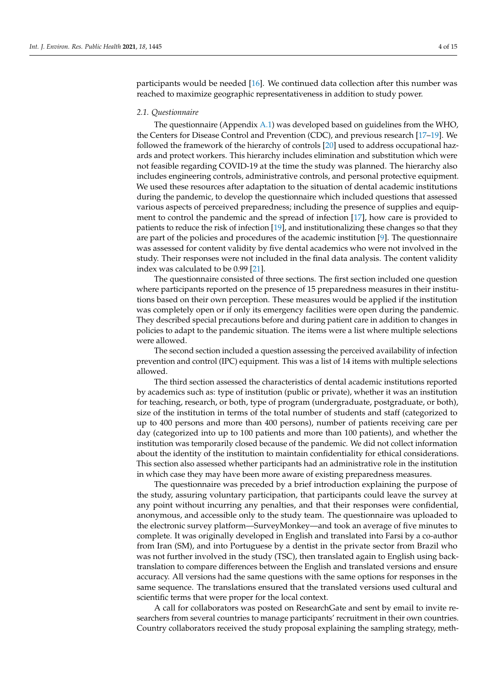participants would be needed [\[16\]](#page-13-14). We continued data collection after this number was reached to maximize geographic representativeness in addition to study power.

## *2.1. Questionnaire*

The questionnaire (Appendix [A.1\)](#page-10-0) was developed based on guidelines from the WHO, the Centers for Disease Control and Prevention (CDC), and previous research [\[17–](#page-13-15)[19\]](#page-13-16). We followed the framework of the hierarchy of controls [\[20\]](#page-13-17) used to address occupational hazards and protect workers. This hierarchy includes elimination and substitution which were not feasible regarding COVID-19 at the time the study was planned. The hierarchy also includes engineering controls, administrative controls, and personal protective equipment. We used these resources after adaptation to the situation of dental academic institutions during the pandemic, to develop the questionnaire which included questions that assessed various aspects of perceived preparedness; including the presence of supplies and equipment to control the pandemic and the spread of infection [\[17\]](#page-13-15), how care is provided to patients to reduce the risk of infection [\[19\]](#page-13-16), and institutionalizing these changes so that they are part of the policies and procedures of the academic institution [\[9\]](#page-13-7). The questionnaire was assessed for content validity by five dental academics who were not involved in the study. Their responses were not included in the final data analysis. The content validity index was calculated to be 0.99 [\[21\]](#page-13-18).

The questionnaire consisted of three sections. The first section included one question where participants reported on the presence of 15 preparedness measures in their institutions based on their own perception. These measures would be applied if the institution was completely open or if only its emergency facilities were open during the pandemic. They described special precautions before and during patient care in addition to changes in policies to adapt to the pandemic situation. The items were a list where multiple selections were allowed.

The second section included a question assessing the perceived availability of infection prevention and control (IPC) equipment. This was a list of 14 items with multiple selections allowed.

The third section assessed the characteristics of dental academic institutions reported by academics such as: type of institution (public or private), whether it was an institution for teaching, research, or both, type of program (undergraduate, postgraduate, or both), size of the institution in terms of the total number of students and staff (categorized to up to 400 persons and more than 400 persons), number of patients receiving care per day (categorized into up to 100 patients and more than 100 patients), and whether the institution was temporarily closed because of the pandemic. We did not collect information about the identity of the institution to maintain confidentiality for ethical considerations. This section also assessed whether participants had an administrative role in the institution in which case they may have been more aware of existing preparedness measures.

The questionnaire was preceded by a brief introduction explaining the purpose of the study, assuring voluntary participation, that participants could leave the survey at any point without incurring any penalties, and that their responses were confidential, anonymous, and accessible only to the study team. The questionnaire was uploaded to the electronic survey platform—SurveyMonkey—and took an average of five minutes to complete. It was originally developed in English and translated into Farsi by a co-author from Iran (SM), and into Portuguese by a dentist in the private sector from Brazil who was not further involved in the study (TSC), then translated again to English using backtranslation to compare differences between the English and translated versions and ensure accuracy. All versions had the same questions with the same options for responses in the same sequence. The translations ensured that the translated versions used cultural and scientific terms that were proper for the local context.

A call for collaborators was posted on ResearchGate and sent by email to invite researchers from several countries to manage participants' recruitment in their own countries. Country collaborators received the study proposal explaining the sampling strategy, meth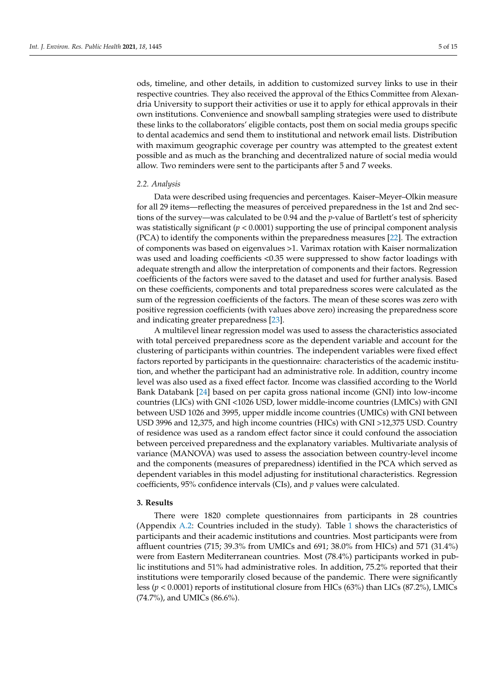ods, timeline, and other details, in addition to customized survey links to use in their respective countries. They also received the approval of the Ethics Committee from Alexandria University to support their activities or use it to apply for ethical approvals in their own institutions. Convenience and snowball sampling strategies were used to distribute these links to the collaborators' eligible contacts, post them on social media groups specific to dental academics and send them to institutional and network email lists. Distribution with maximum geographic coverage per country was attempted to the greatest extent possible and as much as the branching and decentralized nature of social media would allow. Two reminders were sent to the participants after 5 and 7 weeks.

#### *2.2. Analysis*

Data were described using frequencies and percentages. Kaiser–Meyer–Olkin measure for all 29 items—reflecting the measures of perceived preparedness in the 1st and 2nd sections of the survey—was calculated to be 0.94 and the *p*-value of Bartlett's test of sphericity was statistically significant (*p* < 0.0001) supporting the use of principal component analysis (PCA) to identify the components within the preparedness measures [\[22\]](#page-13-19). The extraction of components was based on eigenvalues >1. Varimax rotation with Kaiser normalization was used and loading coefficients <0.35 were suppressed to show factor loadings with adequate strength and allow the interpretation of components and their factors. Regression coefficients of the factors were saved to the dataset and used for further analysis. Based on these coefficients, components and total preparedness scores were calculated as the sum of the regression coefficients of the factors. The mean of these scores was zero with positive regression coefficients (with values above zero) increasing the preparedness score and indicating greater preparedness [\[23\]](#page-13-20).

A multilevel linear regression model was used to assess the characteristics associated with total perceived preparedness score as the dependent variable and account for the clustering of participants within countries. The independent variables were fixed effect factors reported by participants in the questionnaire: characteristics of the academic institution, and whether the participant had an administrative role. In addition, country income level was also used as a fixed effect factor. Income was classified according to the World Bank Databank [\[24\]](#page-13-21) based on per capita gross national income (GNI) into low-income countries (LICs) with GNI <1026 USD, lower middle-income countries (LMICs) with GNI between USD 1026 and 3995, upper middle income countries (UMICs) with GNI between USD 3996 and 12,375, and high income countries (HICs) with GNI >12,375 USD. Country of residence was used as a random effect factor since it could confound the association between perceived preparedness and the explanatory variables. Multivariate analysis of variance (MANOVA) was used to assess the association between country-level income and the components (measures of preparedness) identified in the PCA which served as dependent variables in this model adjusting for institutional characteristics. Regression coefficients, 95% confidence intervals (CIs), and *p* values were calculated.

### **3. Results**

There were 1820 complete questionnaires from participants in 28 countries (Appendix [A.2:](#page-12-0) Countries included in the study). Table [1](#page-5-0) shows the characteristics of participants and their academic institutions and countries. Most participants were from affluent countries (715; 39.3% from UMICs and 691; 38.0% from HICs) and 571 (31.4%) were from Eastern Mediterranean countries. Most (78.4%) participants worked in public institutions and 51% had administrative roles. In addition, 75.2% reported that their institutions were temporarily closed because of the pandemic. There were significantly less (*p* < 0.0001) reports of institutional closure from HICs (63%) than LICs (87.2%), LMICs (74.7%), and UMICs (86.6%).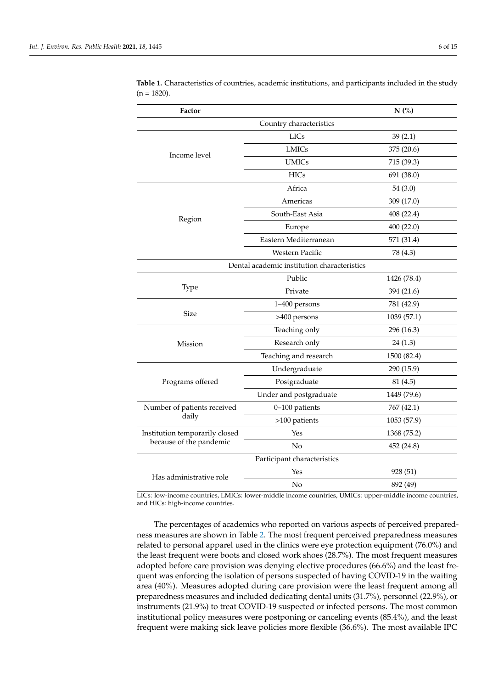| Factor                         |                                                                                                                                                                                                                                                                                                | N(%)        |
|--------------------------------|------------------------------------------------------------------------------------------------------------------------------------------------------------------------------------------------------------------------------------------------------------------------------------------------|-------------|
|                                | Country characteristics                                                                                                                                                                                                                                                                        |             |
|                                | <b>LICs</b>                                                                                                                                                                                                                                                                                    | 39(2.1)     |
| Income level                   | <b>LMICs</b>                                                                                                                                                                                                                                                                                   | 375 (20.6)  |
|                                | <b>UMICs</b>                                                                                                                                                                                                                                                                                   | 715 (39.3)  |
|                                | <b>HICs</b>                                                                                                                                                                                                                                                                                    | 691 (38.0)  |
|                                | Africa                                                                                                                                                                                                                                                                                         | 54(3.0)     |
|                                | Americas                                                                                                                                                                                                                                                                                       | 309 (17.0)  |
| Region                         | South-East Asia                                                                                                                                                                                                                                                                                | 408 (22.4)  |
|                                | Europe                                                                                                                                                                                                                                                                                         | 400(22.0)   |
|                                | Eastern Mediterranean                                                                                                                                                                                                                                                                          | 571 (31.4)  |
|                                | <b>Western Pacific</b>                                                                                                                                                                                                                                                                         | 78 (4.3)    |
|                                |                                                                                                                                                                                                                                                                                                |             |
|                                | Public                                                                                                                                                                                                                                                                                         | 1426 (78.4) |
| Type                           | Private                                                                                                                                                                                                                                                                                        | 394 (21.6)  |
|                                | Dental academic institution characteristics<br>1-400 persons<br>>400 persons<br>Teaching only<br>Research only<br>Teaching and research<br>Undergraduate<br>Postgraduate<br>Under and postgraduate<br>0-100 patients<br>>100 patients<br>Yes<br>No<br>Participant characteristics<br>Yes<br>No | 781 (42.9)  |
| <b>Size</b>                    |                                                                                                                                                                                                                                                                                                | 1039 (57.1) |
|                                |                                                                                                                                                                                                                                                                                                | 296 (16.3)  |
| Mission                        |                                                                                                                                                                                                                                                                                                | 24(1.3)     |
|                                |                                                                                                                                                                                                                                                                                                | 1500 (82.4) |
|                                |                                                                                                                                                                                                                                                                                                | 290 (15.9)  |
| Programs offered               |                                                                                                                                                                                                                                                                                                | 81 (4.5)    |
|                                |                                                                                                                                                                                                                                                                                                | 1449 (79.6) |
| Number of patients received    |                                                                                                                                                                                                                                                                                                | 767 (42.1)  |
| daily                          |                                                                                                                                                                                                                                                                                                | 1053 (57.9) |
| Institution temporarily closed |                                                                                                                                                                                                                                                                                                | 1368 (75.2) |
| because of the pandemic        |                                                                                                                                                                                                                                                                                                | 452 (24.8)  |
|                                |                                                                                                                                                                                                                                                                                                |             |
| Has administrative role        |                                                                                                                                                                                                                                                                                                | 928 (51)    |
|                                |                                                                                                                                                                                                                                                                                                | 892 (49)    |

<span id="page-5-0"></span>**Table 1.** Characteristics of countries, academic institutions, and participants included in the study  $(n = 1820)$ .

LICs: low-income countries, LMICs: lower-middle income countries, UMICs: upper-middle income countries, and HICs: high-income countries.

The percentages of academics who reported on various aspects of perceived preparedness measures are shown in Table [2.](#page-6-0) The most frequent perceived preparedness measures related to personal apparel used in the clinics were eye protection equipment (76.0%) and the least frequent were boots and closed work shoes (28.7%). The most frequent measures adopted before care provision was denying elective procedures (66.6%) and the least frequent was enforcing the isolation of persons suspected of having COVID-19 in the waiting area (40%). Measures adopted during care provision were the least frequent among all preparedness measures and included dedicating dental units (31.7%), personnel (22.9%), or instruments (21.9%) to treat COVID-19 suspected or infected persons. The most common institutional policy measures were postponing or canceling events (85.4%), and the least frequent were making sick leave policies more flexible (36.6%). The most available IPC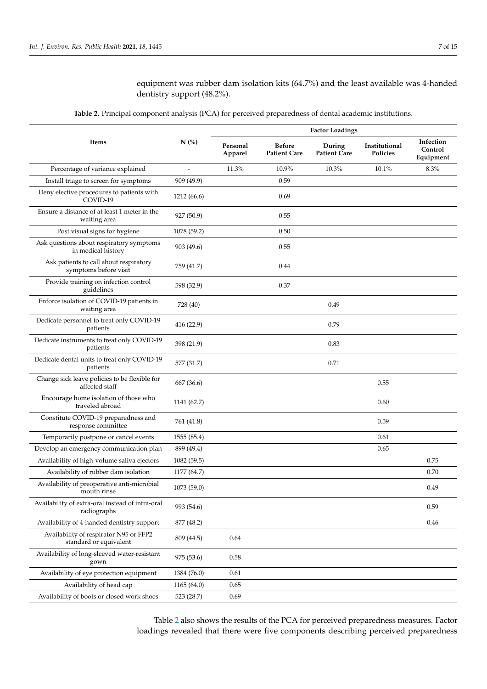equipment was rubber dam isolation kits (64.7%) and the least available was 4-handed dentistry support (48.2%).

**Table 2.** Principal component analysis (PCA) for perceived preparedness of dental academic institutions.

<span id="page-6-0"></span>

|                                                                  |             | <b>Factor Loadings</b> |                                      |                               |                           |                                   |
|------------------------------------------------------------------|-------------|------------------------|--------------------------------------|-------------------------------|---------------------------|-----------------------------------|
| Items                                                            | $N$ (%)     | Personal<br>Apparel    | <b>Before</b><br><b>Patient Care</b> | During<br><b>Patient Care</b> | Institutional<br>Policies | Infection<br>Control<br>Equipment |
| Percentage of variance explained                                 |             | 11.3%                  | 10.9%                                | 10.3%                         | 10.1%                     | 8.3%                              |
| Install triage to screen for symptoms                            | 909 (49.9)  |                        | 0.59                                 |                               |                           |                                   |
| Deny elective procedures to patients with<br>COVID-19            | 1212 (66.6) |                        | 0.69                                 |                               |                           |                                   |
| Ensure a distance of at least 1 meter in the<br>waiting area     | 927 (50.9)  |                        | 0.55                                 |                               |                           |                                   |
| Post visual signs for hygiene                                    | 1078 (59.2) |                        | 0.50                                 |                               |                           |                                   |
| Ask questions about respiratory symptoms<br>in medical history   | 903 (49.6)  |                        | 0.55                                 |                               |                           |                                   |
| Ask patients to call about respiratory<br>symptoms before visit  | 759 (41.7)  |                        | 0.44                                 |                               |                           |                                   |
| Provide training on infection control<br>guidelines              | 598 (32.9)  |                        | 0.37                                 |                               |                           |                                   |
| Enforce isolation of COVID-19 patients in<br>waiting area        | 728 (40)    |                        |                                      | 0.49                          |                           |                                   |
| Dedicate personnel to treat only COVID-19<br>patients            | 416 (22.9)  |                        |                                      | 0.79                          |                           |                                   |
| Dedicate instruments to treat only COVID-19<br>patients          | 398 (21.9)  |                        |                                      | 0.83                          |                           |                                   |
| Dedicate dental units to treat only COVID-19<br>patients         | 577 (31.7)  |                        |                                      | 0.71                          |                           |                                   |
| Change sick leave policies to be flexible for<br>affected staff  | 667 (36.6)  |                        |                                      |                               | 0.55                      |                                   |
| Encourage home isolation of those who<br>traveled abroad         | 1141 (62.7) |                        |                                      |                               | 0.60                      |                                   |
| Constitute COVID-19 preparedness and<br>response committee       | 761 (41.8)  |                        |                                      |                               | 0.59                      |                                   |
| Temporarily postpone or cancel events                            | 1555 (85.4) |                        |                                      |                               | 0.61                      |                                   |
| Develop an emergency communication plan                          | 899 (49.4)  |                        |                                      |                               | 0.65                      |                                   |
| Availability of high-volume saliva ejectors                      | 1082 (59.5) |                        |                                      |                               |                           | 0.75                              |
| Availability of rubber dam isolation                             | 1177 (64.7) |                        |                                      |                               |                           | 0.70                              |
| Availability of preoperative anti-microbial<br>mouth rinse       | 1073 (59.0) |                        |                                      |                               |                           | 0.49                              |
| Availability of extra-oral instead of intra-oral<br>radiographs  | 993 (54.6)  |                        |                                      |                               |                           | 0.59                              |
| Availability of 4-handed dentistry support                       | 877 (48.2)  |                        |                                      |                               |                           | 0.46                              |
| Availability of respirator N95 or FFP2<br>standard or equivalent | 809 (44.5)  | 0.64                   |                                      |                               |                           |                                   |
| Availability of long-sleeved water-resistant<br>gown             | 975 (53.6)  | 0.58                   |                                      |                               |                           |                                   |
| Availability of eye protection equipment                         | 1384 (76.0) | 0.61                   |                                      |                               |                           |                                   |
| Availability of head cap                                         | 1165(64.0)  | 0.65                   |                                      |                               |                           |                                   |
| Availability of boots or closed work shoes                       | 523 (28.7)  | 0.69                   |                                      |                               |                           |                                   |

Table [2](#page-6-0) also shows the results of the PCA for perceived preparedness measures. Factor loadings revealed that there were five components describing perceived preparedness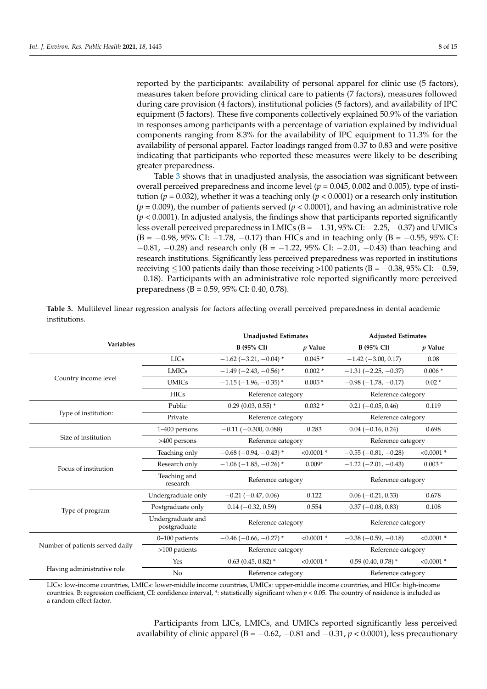reported by the participants: availability of personal apparel for clinic use (5 factors), measures taken before providing clinical care to patients (7 factors), measures followed during care provision (4 factors), institutional policies (5 factors), and availability of IPC equipment (5 factors). These five components collectively explained 50.9% of the variation in responses among participants with a percentage of variation explained by individual components ranging from 8.3% for the availability of IPC equipment to 11.3% for the availability of personal apparel. Factor loadings ranged from 0.37 to 0.83 and were positive indicating that participants who reported these measures were likely to be describing greater preparedness.

Table [3](#page-7-0) shows that in unadjusted analysis, the association was significant between overall perceived preparedness and income level (*p* = 0.045, 0.002 and 0.005), type of institution ( $p = 0.032$ ), whether it was a teaching only ( $p < 0.0001$ ) or a research only institution  $(p = 0.009)$ , the number of patients served  $(p < 0.0001)$ , and having an administrative role (*p* < 0.0001). In adjusted analysis, the findings show that participants reported significantly less overall perceived preparedness in LMICs (B = −1.31, 95% CI: −2.25, −0.37) and UMICs (B = −0.98, 95% CI: −1.78, −0.17) than HICs and in teaching only (B = −0.55, 95% CI: −0.81, −0.28) and research only (B = −1.22, 95% CI: −2.01, −0.43) than teaching and research institutions. Significantly less perceived preparedness was reported in institutions receiving  $\leq$ 100 patients daily than those receiving >100 patients (B = −0.38, 95% CI: −0.59, −0.18). Participants with an administrative role reported significantly more perceived preparedness (B = 0.59, 95% CI: 0.40, 0.78).

|                                 |                                   | <b>Unadjusted Estimates</b>                |                                                                     | <b>Adjusted Estimates</b> |              |  |
|---------------------------------|-----------------------------------|--------------------------------------------|---------------------------------------------------------------------|---------------------------|--------------|--|
| <b>Variables</b>                |                                   | <b>B</b> (95% CI)                          | $p$ Value                                                           | <b>B</b> (95% CI)         | $p$ Value    |  |
|                                 | <b>LICs</b>                       | $-1.62$ (-3.21, -0.04)*                    | $0.045*$                                                            | $-1.42$ ( $-3.00$ , 0.17) | 0.08         |  |
|                                 | <b>LMICs</b>                      | $-1.49(-2.43,-0.56)$ *                     | $0.002*$                                                            | $-1.31(-2.25, -0.37)$     | $0.006*$     |  |
| Country income level            | <b>UMICs</b>                      | $0.005*$<br>$-1.15(-1.96, -0.35)$ *        |                                                                     | $-0.98(-1.78,-0.17)$      | $0.02*$      |  |
|                                 | <b>HICs</b>                       |                                            | Reference category<br>$0.032*$<br>0.283<br>$< 0.0001$ *<br>$0.009*$ | Reference category        |              |  |
|                                 | Public                            | $0.29(0.03, 0.55)$ *                       | 0.122<br>0.554<br>$< 0.0001$ *                                      | $0.21 (-0.05, 0.46)$      | 0.119        |  |
| Type of institution:            | Private                           | Reference category                         |                                                                     | Reference category        |              |  |
|                                 | 1-400 persons                     | $-0.11(-0.300, 0.088)$                     |                                                                     | $0.04 (-0.16, 0.24)$      | 0.698        |  |
| Size of institution             | >400 persons                      | Reference category                         |                                                                     | Reference category        |              |  |
|                                 | Teaching only                     | $-0.68$ ( $-0.94$ , $-0.43$ ) <sup>*</sup> |                                                                     | $-0.55(-0.81,-0.28)$      | $< 0.0001$ * |  |
| Focus of institution            | Research only                     | $-1.06$ ( $-1.85$ , $-0.26$ ) <sup>*</sup> |                                                                     | $-1.22(-2.01,-0.43)$      | $0.003*$     |  |
|                                 | Teaching and<br>research          | Reference category                         | Reference category                                                  |                           |              |  |
|                                 | Undergraduate only                | $-0.21(-0.47, 0.06)$                       |                                                                     | $0.06 (-0.21, 0.33)$      | 0.678        |  |
| Type of program                 | Postgraduate only                 | $0.14 (-0.32, 0.59)$                       |                                                                     | $0.37(-0.08, 0.83)$       | 0.108        |  |
|                                 | Undergraduate and<br>postgraduate | Reference category                         |                                                                     | Reference category        |              |  |
|                                 | 0-100 patients                    | $-0.46$ ( $-0.66$ , $-0.27$ ) <sup>*</sup> |                                                                     | $-0.38(-0.59,-0.18)$      | $< 0.0001$ * |  |
| Number of patients served daily | $>100$ patients                   | Reference category                         |                                                                     | Reference category        |              |  |
|                                 | Yes                               | $0.63$ (0.45, 0.82) $*$                    | $< 0.0001$ *<br>$0.59(0.40, 0.78)$ <sup>*</sup>                     |                           | $< 0.0001$ * |  |
| Having administrative role      | No                                | Reference category                         |                                                                     | Reference category        |              |  |

<span id="page-7-0"></span>**Table 3.** Multilevel linear regression analysis for factors affecting overall perceived preparedness in dental academic institutions.

LICs: low-income countries, LMICs: lower-middle income countries, UMICs: upper-middle income countries, and HICs: high-income countries. B: regression coefficient, CI: confidence interval, \*: statistically significant when *p* < 0.05. The country of residence is included as a random effect factor.

> Participants from LICs, LMICs, and UMICs reported significantly less perceived availability of clinic apparel (B =  $-0.62$ ,  $-0.81$  and  $-0.31$ ,  $p < 0.0001$ ), less precautionary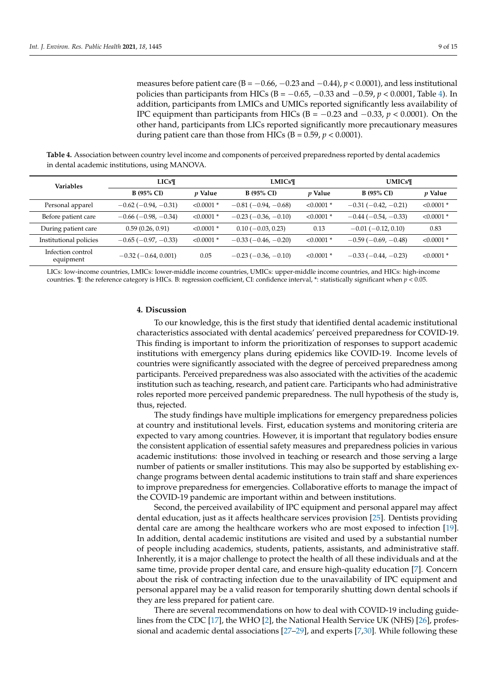measures before patient care ( $B = -0.66$ ,  $-0.23$  and  $-0.44$ ),  $p < 0.0001$ ), and less institutional policies than participants from HICs (B = −0.65, −0.33 and −0.59, *p* < 0.0001, Table [4\)](#page-8-0). In addition, participants from LMICs and UMICs reported significantly less availability of IPC equipment than participants from HICs ( $B = -0.23$  and  $-0.33$ ,  $p < 0.0001$ ). On the other hand, participants from LICs reported significantly more precautionary measures during patient care than those from HICs  $(B = 0.59, p < 0.0001)$ .

<span id="page-8-0"></span>**Table 4.** Association between country level income and components of perceived preparedness reported by dental academics in dental academic institutions, using MANOVA.

| <b>Variables</b>               | $LICs\P$                      |                | <b>LMICs¶</b>         |                | <b>UMICs¶</b>             |                |
|--------------------------------|-------------------------------|----------------|-----------------------|----------------|---------------------------|----------------|
|                                | <b>B</b> (95% CI)             | <i>v</i> Value | <b>B</b> (95% CI)     | <i>v</i> Value | <b>B</b> (95% CI)         | <i>p</i> Value |
| Personal apparel               | $-0.62$ ( $-0.94$ , $-0.31$ ) | $< 0.0001$ *   | $-0.81(-0.94,-0.68)$  | $< 0.0001$ *   | $-0.31(-0.42,-0.21)$      | $< 0.0001$ *   |
| Before patient care            | $-0.66$ ( $-0.98$ , $-0.34$ ) | $< 0.0001$ *   | $-0.23(-0.36, -0.10)$ | $< 0.0001$ *   | $-0.44(-0.54,-0.33)$      | $< 0.0001$ *   |
| During patient care            | 0.59(0.26, 0.91)              | $< 0.0001$ *   | $0.10(-0.03, 0.23)$   | 0.13           | $-0.01$ ( $-0.12$ , 0.10) | 0.83           |
| Institutional policies         | $-0.65(-0.97, -0.33)$         | $< 0.0001$ *   | $-0.33(-0.46,-0.20)$  | $< 0.0001$ *   | $-0.59(-0.69,-0.48)$      | $< 0.0001$ *   |
| Infection control<br>equipment | $-0.32(-0.64, 0.001)$         | 0.05           | $-0.23(-0.36, -0.10)$ | $< 0.0001$ *   | $-0.33(-0.44,-0.23)$      | $< 0.0001$ *   |

LICs: low-income countries, LMICs: lower-middle income countries, UMICs: upper-middle income countries, and HICs: high-income countries.  $\P$ : the reference category is HICs. B: regression coefficient, CI: confidence interval, \*: statistically significant when  $p < 0.05$ .

#### **4. Discussion**

To our knowledge, this is the first study that identified dental academic institutional characteristics associated with dental academics' perceived preparedness for COVID-19. This finding is important to inform the prioritization of responses to support academic institutions with emergency plans during epidemics like COVID-19. Income levels of countries were significantly associated with the degree of perceived preparedness among participants. Perceived preparedness was also associated with the activities of the academic institution such as teaching, research, and patient care. Participants who had administrative roles reported more perceived pandemic preparedness. The null hypothesis of the study is, thus, rejected.

The study findings have multiple implications for emergency preparedness policies at country and institutional levels. First, education systems and monitoring criteria are expected to vary among countries. However, it is important that regulatory bodies ensure the consistent application of essential safety measures and preparedness policies in various academic institutions: those involved in teaching or research and those serving a large number of patients or smaller institutions. This may also be supported by establishing exchange programs between dental academic institutions to train staff and share experiences to improve preparedness for emergencies. Collaborative efforts to manage the impact of the COVID-19 pandemic are important within and between institutions.

Second, the perceived availability of IPC equipment and personal apparel may affect dental education, just as it affects healthcare services provision [\[25\]](#page-13-22). Dentists providing dental care are among the healthcare workers who are most exposed to infection [\[19\]](#page-13-16). In addition, dental academic institutions are visited and used by a substantial number of people including academics, students, patients, assistants, and administrative staff. Inherently, it is a major challenge to protect the health of all these individuals and at the same time, provide proper dental care, and ensure high-quality education [\[7\]](#page-13-6). Concern about the risk of contracting infection due to the unavailability of IPC equipment and personal apparel may be a valid reason for temporarily shutting down dental schools if they are less prepared for patient care.

There are several recommendations on how to deal with COVID-19 including guidelines from the CDC [\[17\]](#page-13-15), the WHO [\[2\]](#page-13-1), the National Health Service UK (NHS) [\[26\]](#page-13-23), professional and academic dental associations [\[27–](#page-13-24)[29\]](#page-14-0), and experts [\[7](#page-13-6)[,30\]](#page-14-1). While following these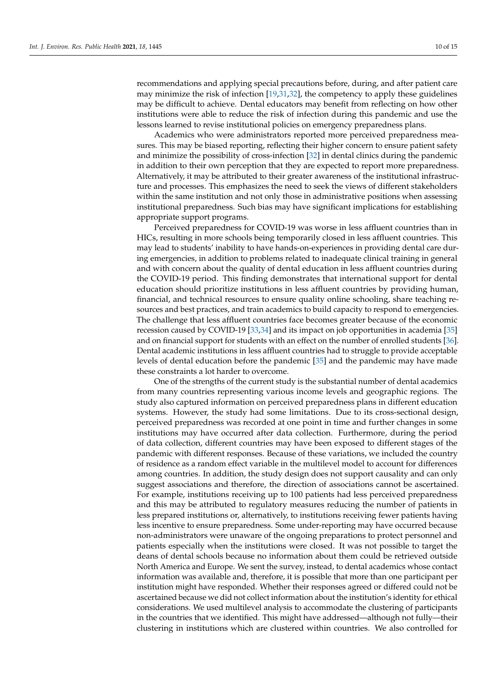recommendations and applying special precautions before, during, and after patient care may minimize the risk of infection [\[19,](#page-13-16)[31,](#page-14-2)[32\]](#page-14-3), the competency to apply these guidelines may be difficult to achieve. Dental educators may benefit from reflecting on how other institutions were able to reduce the risk of infection during this pandemic and use the lessons learned to revise institutional policies on emergency preparedness plans.

Academics who were administrators reported more perceived preparedness measures. This may be biased reporting, reflecting their higher concern to ensure patient safety and minimize the possibility of cross-infection [\[32\]](#page-14-3) in dental clinics during the pandemic in addition to their own perception that they are expected to report more preparedness. Alternatively, it may be attributed to their greater awareness of the institutional infrastructure and processes. This emphasizes the need to seek the views of different stakeholders within the same institution and not only those in administrative positions when assessing institutional preparedness. Such bias may have significant implications for establishing appropriate support programs.

Perceived preparedness for COVID-19 was worse in less affluent countries than in HICs, resulting in more schools being temporarily closed in less affluent countries. This may lead to students' inability to have hands-on-experiences in providing dental care during emergencies, in addition to problems related to inadequate clinical training in general and with concern about the quality of dental education in less affluent countries during the COVID-19 period. This finding demonstrates that international support for dental education should prioritize institutions in less affluent countries by providing human, financial, and technical resources to ensure quality online schooling, share teaching resources and best practices, and train academics to build capacity to respond to emergencies. The challenge that less affluent countries face becomes greater because of the economic recession caused by COVID-19 [\[33,](#page-14-4)[34\]](#page-14-5) and its impact on job opportunities in academia [\[35\]](#page-14-6) and on financial support for students with an effect on the number of enrolled students [\[36\]](#page-14-7). Dental academic institutions in less affluent countries had to struggle to provide acceptable levels of dental education before the pandemic [\[35\]](#page-14-6) and the pandemic may have made these constraints a lot harder to overcome.

One of the strengths of the current study is the substantial number of dental academics from many countries representing various income levels and geographic regions. The study also captured information on perceived preparedness plans in different education systems. However, the study had some limitations. Due to its cross-sectional design, perceived preparedness was recorded at one point in time and further changes in some institutions may have occurred after data collection. Furthermore, during the period of data collection, different countries may have been exposed to different stages of the pandemic with different responses. Because of these variations, we included the country of residence as a random effect variable in the multilevel model to account for differences among countries. In addition, the study design does not support causality and can only suggest associations and therefore, the direction of associations cannot be ascertained. For example, institutions receiving up to 100 patients had less perceived preparedness and this may be attributed to regulatory measures reducing the number of patients in less prepared institutions or, alternatively, to institutions receiving fewer patients having less incentive to ensure preparedness. Some under-reporting may have occurred because non-administrators were unaware of the ongoing preparations to protect personnel and patients especially when the institutions were closed. It was not possible to target the deans of dental schools because no information about them could be retrieved outside North America and Europe. We sent the survey, instead, to dental academics whose contact information was available and, therefore, it is possible that more than one participant per institution might have responded. Whether their responses agreed or differed could not be ascertained because we did not collect information about the institution's identity for ethical considerations. We used multilevel analysis to accommodate the clustering of participants in the countries that we identified. This might have addressed—although not fully—their clustering in institutions which are clustered within countries. We also controlled for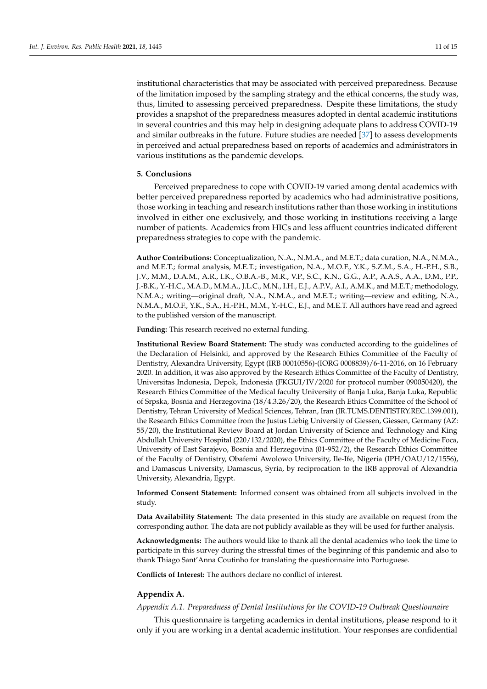institutional characteristics that may be associated with perceived preparedness. Because of the limitation imposed by the sampling strategy and the ethical concerns, the study was, thus, limited to assessing perceived preparedness. Despite these limitations, the study provides a snapshot of the preparedness measures adopted in dental academic institutions in several countries and this may help in designing adequate plans to address COVID-19 and similar outbreaks in the future. Future studies are needed [\[37\]](#page-14-8) to assess developments in perceived and actual preparedness based on reports of academics and administrators in various institutions as the pandemic develops.

### **5. Conclusions**

Perceived preparedness to cope with COVID-19 varied among dental academics with better perceived preparedness reported by academics who had administrative positions, those working in teaching and research institutions rather than those working in institutions involved in either one exclusively, and those working in institutions receiving a large number of patients. Academics from HICs and less affluent countries indicated different preparedness strategies to cope with the pandemic.

**Author Contributions:** Conceptualization, N.A., N.M.A., and M.E.T.; data curation, N.A., N.M.A., and M.E.T.; formal analysis, M.E.T.; investigation, N.A., M.O.F., Y.K., S.Z.M., S.A., H.-P.H., S.B., J.V., M.M., D.A.M., A.R., I.K., O.B.A.-B., M.R., V.P., S.C., K.N., G.G., A.P., A.A.S., A.A., D.M., P.P., J.-B.K., Y.-H.C., M.A.D., M.M.A., J.L.C., M.N., I.H., E.J., A.P.V., A.I., A.M.K., and M.E.T.; methodology, N.M.A.; writing—original draft, N.A., N.M.A., and M.E.T.; writing—review and editing, N.A., N.M.A., M.O.F., Y.K., S.A., H.-P.H., M.M., Y.-H.C., E.J., and M.E.T. All authors have read and agreed to the published version of the manuscript.

**Funding:** This research received no external funding.

**Institutional Review Board Statement:** The study was conducted according to the guidelines of the Declaration of Helsinki, and approved by the Research Ethics Committee of the Faculty of Dentistry, Alexandra University, Egypt (IRB 00010556)-(IORG 0008839)/6-11-2016, on 16 February 2020. In addition, it was also approved by the Research Ethics Committee of the Faculty of Dentistry, Universitas Indonesia, Depok, Indonesia (FKGUI/IV/2020 for protocol number 090050420), the Research Ethics Committee of the Medical faculty University of Banja Luka, Banja Luka, Republic of Srpska, Bosnia and Herzegovina (18/4.3.26/20), the Research Ethics Committee of the School of Dentistry, Tehran University of Medical Sciences, Tehran, Iran (IR.TUMS.DENTISTRY.REC.1399.001), the Research Ethics Committee from the Justus Liebig University of Giessen, Giessen, Germany (AZ: 55/20), the Institutional Review Board at Jordan University of Science and Technology and King Abdullah University Hospital (220/132/2020), the Ethics Committee of the Faculty of Medicine Foca, University of East Sarajevo, Bosnia and Herzegovina (01-952/2), the Research Ethics Committee of the Faculty of Dentistry, Obafemi Awolowo University, Ile-Ife, Nigeria (IPH/OAU/12/1556), and Damascus University, Damascus, Syria, by reciprocation to the IRB approval of Alexandria University, Alexandria, Egypt.

**Informed Consent Statement:** Informed consent was obtained from all subjects involved in the study.

**Data Availability Statement:** The data presented in this study are available on request from the corresponding author. The data are not publicly available as they will be used for further analysis.

**Acknowledgments:** The authors would like to thank all the dental academics who took the time to participate in this survey during the stressful times of the beginning of this pandemic and also to thank Thiago Sant'Anna Coutinho for translating the questionnaire into Portuguese.

**Conflicts of Interest:** The authors declare no conflict of interest.

## **Appendix A.**

<span id="page-10-0"></span>*Appendix A.1. Preparedness of Dental Institutions for the COVID-19 Outbreak Questionnaire*

This questionnaire is targeting academics in dental institutions, please respond to it only if you are working in a dental academic institution. Your responses are confidential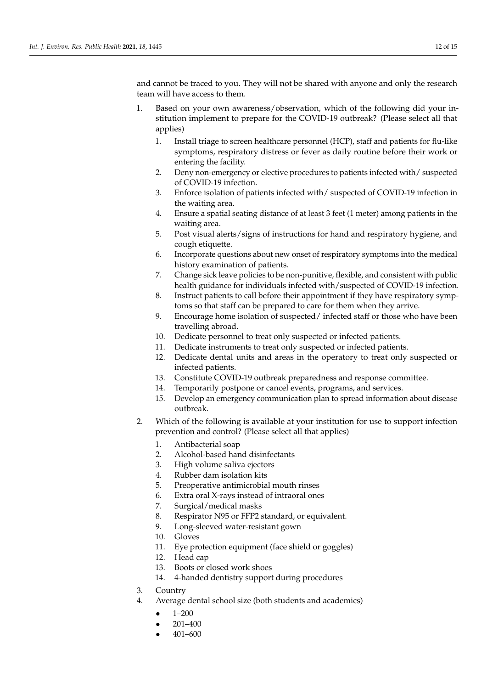and cannot be traced to you. They will not be shared with anyone and only the research team will have access to them.

- 1. Based on your own awareness/observation, which of the following did your institution implement to prepare for the COVID-19 outbreak? (Please select all that applies)
	- 1. Install triage to screen healthcare personnel (HCP), staff and patients for flu-like symptoms, respiratory distress or fever as daily routine before their work or entering the facility.
	- 2. Deny non-emergency or elective procedures to patients infected with/ suspected of COVID-19 infection.
	- 3. Enforce isolation of patients infected with/ suspected of COVID-19 infection in the waiting area.
	- 4. Ensure a spatial seating distance of at least 3 feet (1 meter) among patients in the waiting area.
	- 5. Post visual alerts/signs of instructions for hand and respiratory hygiene, and cough etiquette.
	- 6. Incorporate questions about new onset of respiratory symptoms into the medical history examination of patients.
	- 7. Change sick leave policies to be non-punitive, flexible, and consistent with public health guidance for individuals infected with/suspected of COVID-19 infection.
	- 8. Instruct patients to call before their appointment if they have respiratory symptoms so that staff can be prepared to care for them when they arrive.
	- 9. Encourage home isolation of suspected/ infected staff or those who have been travelling abroad.
	- 10. Dedicate personnel to treat only suspected or infected patients.
	- 11. Dedicate instruments to treat only suspected or infected patients.
	- 12. Dedicate dental units and areas in the operatory to treat only suspected or infected patients.
	- 13. Constitute COVID-19 outbreak preparedness and response committee.
	- 14. Temporarily postpone or cancel events, programs, and services.
	- 15. Develop an emergency communication plan to spread information about disease outbreak.
- 2. Which of the following is available at your institution for use to support infection prevention and control? (Please select all that applies)
	- 1. Antibacterial soap
	- 2. Alcohol-based hand disinfectants
	- 3. High volume saliva ejectors
	- 4. Rubber dam isolation kits
	- 5. Preoperative antimicrobial mouth rinses
	- 6. Extra oral X-rays instead of intraoral ones
	- 7. Surgical/medical masks
	- 8. Respirator N95 or FFP2 standard, or equivalent.
	- 9. Long-sleeved water-resistant gown
	- 10. Gloves
	- 11. Eye protection equipment (face shield or goggles)
	- 12. Head cap
	- 13. Boots or closed work shoes
	- 14. 4-handed dentistry support during procedures
- 3. Country
- 4. Average dental school size (both students and academics)
	- 1–200
		- 201–400
		- 401–600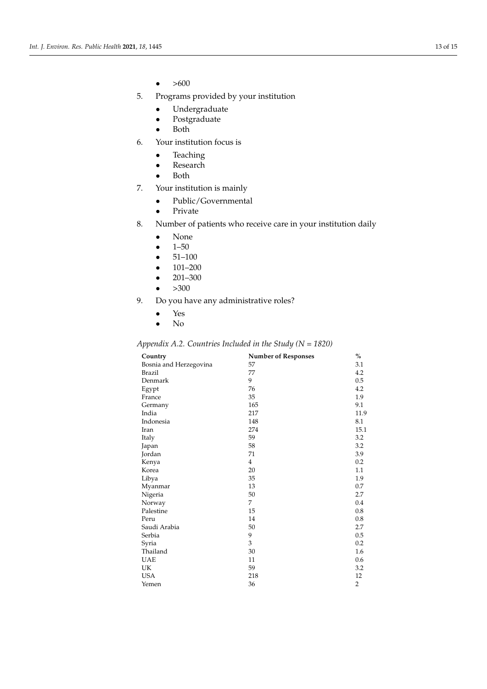- $\bullet$  >600
- 5. Programs provided by your institution
	- Undergraduate
	- Postgraduate
	- Both
- 6. Your institution focus is
	- Teaching
	- Research
	- Both
- 7. Your institution is mainly
	- Public/Governmental
	- Private
- 8. Number of patients who receive care in your institution daily
	- None
	- $\bullet$  1–50
	- $51-100$
	- $\bullet$  101–200
	- 201–300
	- $\bullet$  >300
- 9. Do you have any administrative roles?
	- Yes
	- No

# <span id="page-12-0"></span>*Appendix A.2. Countries Included in the Study (N = 1820)*

| Country                | <b>Number of Responses</b> | $\%$           |
|------------------------|----------------------------|----------------|
| Bosnia and Herzegovina | 57                         | 3.1            |
| Brazil                 | 77                         | 4.2            |
| Denmark                | 9                          | 0.5            |
| Egypt                  | 76                         | 4.2            |
| France                 | 35                         | 1.9            |
| Germany                | 165                        | 9.1            |
| India                  | 217                        | 11.9           |
| Indonesia              | 148                        | 8.1            |
| Iran                   | 274                        | 15.1           |
| Italy                  | 59                         | 3.2            |
| Japan                  | 58                         | 3.2            |
| Jordan                 | 71                         | 3.9            |
| Kenya                  | $\overline{4}$             | 0.2            |
| Korea                  | 20                         | 1.1            |
| Libya                  | 35                         | 1.9            |
| Myanmar                | 13                         | 0.7            |
| Nigeria                | 50                         | 2.7            |
| Norway                 | 7                          | 0.4            |
| Palestine              | 15                         | 0.8            |
| Peru                   | 14                         | 0.8            |
| Saudi Arabia           | 50                         | 2.7            |
| Serbia                 | 9                          | 0.5            |
| Syria                  | 3                          | 0.2            |
| Thailand               | 30                         | 1.6            |
| <b>UAE</b>             | 11                         | 0.6            |
| UK                     | 59                         | 3.2            |
| <b>USA</b>             | 218                        | 12             |
| Yemen                  | 36                         | $\overline{2}$ |
|                        |                            |                |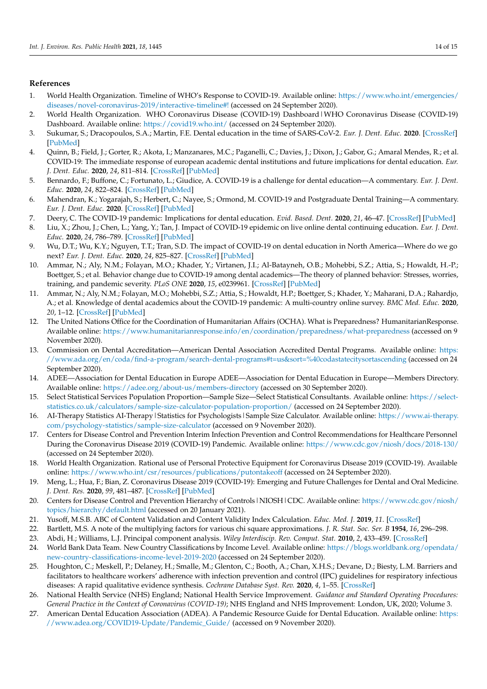## **References**

- <span id="page-13-0"></span>1. World Health Organization. Timeline of WHO's Response to COVID-19. Available online: [https://www.who.int/emergencies/](https://www.who.int/emergencies/diseases/novel-coronavirus-2019/interactive-timeline#!) [diseases/novel-coronavirus-2019/interactive-timeline#!](https://www.who.int/emergencies/diseases/novel-coronavirus-2019/interactive-timeline#!) (accessed on 24 September 2020).
- <span id="page-13-1"></span>2. World Health Organization. WHO Coronavirus Disease (COVID-19) Dashboard|WHO Coronavirus Disease (COVID-19) Dashboard. Available online: <https://covid19.who.int/> (accessed on 24 September 2020).
- <span id="page-13-2"></span>3. Sukumar, S.; Dracopoulos, S.A.; Martin, F.E. Dental education in the time of SARS-CoV-2. *Eur. J. Dent. Educ.* **2020**. [\[CrossRef\]](http://doi.org/10.1111/eje.12608) [\[PubMed\]](http://www.ncbi.nlm.nih.gov/pubmed/33015929)
- <span id="page-13-3"></span>4. Quinn, B.; Field, J.; Gorter, R.; Akota, I.; Manzanares, M.C.; Paganelli, C.; Davies, J.; Dixon, J.; Gabor, G.; Amaral Mendes, R.; et al. COVID-19: The immediate response of european academic dental institutions and future implications for dental education. *Eur. J. Dent. Educ.* **2020**, *24*, 811–814. [\[CrossRef\]](http://doi.org/10.1111/eje.12542) [\[PubMed\]](http://www.ncbi.nlm.nih.gov/pubmed/32394605)
- <span id="page-13-4"></span>5. Bennardo, F.; Buffone, C.; Fortunato, L.; Giudice, A. COVID-19 is a challenge for dental education—A commentary. *Eur. J. Dent. Educ.* **2020**, *24*, 822–824. [\[CrossRef\]](http://doi.org/10.1111/eje.12555) [\[PubMed\]](http://www.ncbi.nlm.nih.gov/pubmed/32542796)
- <span id="page-13-5"></span>6. Mahendran, K.; Yogarajah, S.; Herbert, C.; Nayee, S.; Ormond, M. COVID-19 and Postgraduate Dental Training—A commentary. *Eur. J. Dent. Educ.* **2020**. [\[CrossRef\]](http://doi.org/10.1111/eje.12600) [\[PubMed\]](http://www.ncbi.nlm.nih.gov/pubmed/32954610)
- <span id="page-13-6"></span>7. Deery, C. The COVID-19 pandemic: Implications for dental education. *Evid. Based. Dent.* **2020**, *21*, 46–47. [\[CrossRef\]](http://doi.org/10.1038/s41432-020-0089-3) [\[PubMed\]](http://www.ncbi.nlm.nih.gov/pubmed/32591653)
- 8. Liu, X.; Zhou, J.; Chen, L.; Yang, Y.; Tan, J. Impact of COVID-19 epidemic on live online dental continuing education. *Eur. J. Dent. Educ.* **2020**, *24*, 786–789. [\[CrossRef\]](http://doi.org/10.1111/eje.12569) [\[PubMed\]](http://www.ncbi.nlm.nih.gov/pubmed/32648989)
- <span id="page-13-7"></span>9. Wu, D.T.; Wu, K.Y.; Nguyen, T.T.; Tran, S.D. The impact of COVID-19 on dental education in North America—Where do we go next? *Eur. J. Dent. Educ.* **2020**, *24*, 825–827. [\[CrossRef\]](http://doi.org/10.1111/eje.12561) [\[PubMed\]](http://www.ncbi.nlm.nih.gov/pubmed/32654328)
- <span id="page-13-8"></span>10. Ammar, N.; Aly, N.M.; Folayan, M.O.; Khader, Y.; Virtanen, J.I.; Al-Batayneh, O.B.; Mohebbi, S.Z.; Attia, S.; Howaldt, H.-P.; Boettger, S.; et al. Behavior change due to COVID-19 among dental academics—The theory of planned behavior: Stresses, worries, training, and pandemic severity. *PLoS ONE* **2020**, *15*, e0239961. [\[CrossRef\]](http://doi.org/10.1371/journal.pone.0239961) [\[PubMed\]](http://www.ncbi.nlm.nih.gov/pubmed/32991611)
- <span id="page-13-9"></span>11. Ammar, N.; Aly, N.M.; Folayan, M.O.; Mohebbi, S.Z.; Attia, S.; Howaldt, H.P.; Boettger, S.; Khader, Y.; Maharani, D.A.; Rahardjo, A.; et al. Knowledge of dental academics about the COVID-19 pandemic: A multi-country online survey. *BMC Med. Educ.* **2020**, *20*, 1–12. [\[CrossRef\]](http://doi.org/10.1186/s12909-020-02308-w) [\[PubMed\]](http://www.ncbi.nlm.nih.gov/pubmed/33138810)
- <span id="page-13-10"></span>12. The United Nations Office for the Coordination of Humanitarian Affairs (OCHA). What is Preparedness? HumanitarianResponse. Available online: <https://www.humanitarianresponse.info/en/coordination/preparedness/what-preparedness> (accessed on 9 November 2020).
- <span id="page-13-11"></span>13. Commission on Dental Accreditation—American Dental Association Accredited Dental Programs. Available online: [https:](https://www.ada.org/en/coda/find-a-program/search-dental-programs#t=us&sort=%40codastatecitysortascending) [//www.ada.org/en/coda/find-a-program/search-dental-programs#t=us&sort=%40codastatecitysortascending](https://www.ada.org/en/coda/find-a-program/search-dental-programs#t=us&sort=%40codastatecitysortascending) (accessed on 24 September 2020).
- <span id="page-13-12"></span>14. ADEE—Association for Dental Education in Europe ADEE—Association for Dental Education in Europe—Members Directory. Available online: <https://adee.org/about-us/members-directory> (accessed on 30 September 2020).
- <span id="page-13-13"></span>15. Select Statistical Services Population Proportion—Sample Size—Select Statistical Consultants. Available online: [https://select](https://select-statistics.co.uk/calculators/sample-size-calculator-population-proportion/)[statistics.co.uk/calculators/sample-size-calculator-population-proportion/](https://select-statistics.co.uk/calculators/sample-size-calculator-population-proportion/) (accessed on 24 September 2020).
- <span id="page-13-14"></span>16. AI-Therapy Statistics AI-Therapy|Statistics for Psychologists|Sample Size Calculator. Available online: [https://www.ai-therapy.](https://www.ai-therapy.com/psychology-statistics/sample-size-calculator) [com/psychology-statistics/sample-size-calculator](https://www.ai-therapy.com/psychology-statistics/sample-size-calculator) (accessed on 9 November 2020).
- <span id="page-13-15"></span>17. Centers for Disease Control and Prevention Interim Infection Prevention and Control Recommendations for Healthcare Personnel During the Coronavirus Disease 2019 (COVID-19) Pandemic. Available online: <https://www.cdc.gov/niosh/docs/2018-130/> (accessed on 24 September 2020).
- 18. World Health Organization. Rational use of Personal Protective Equipment for Coronavirus Disease 2019 (COVID-19). Available online: <https://www.who.int/csr/resources/publications/putontakeoff> (accessed on 24 September 2020).
- <span id="page-13-16"></span>19. Meng, L.; Hua, F.; Bian, Z. Coronavirus Disease 2019 (COVID-19): Emerging and Future Challenges for Dental and Oral Medicine. *J. Dent. Res.* **2020**, *99*, 481–487. [\[CrossRef\]](http://doi.org/10.1177/0022034520914246) [\[PubMed\]](http://www.ncbi.nlm.nih.gov/pubmed/32162995)
- <span id="page-13-17"></span>20. Centers for Disease Control and Prevention Hierarchy of Controls|NIOSH|CDC. Available online: [https://www.cdc.gov/niosh/](https://www.cdc.gov/niosh/topics/hierarchy/default.html) [topics/hierarchy/default.html](https://www.cdc.gov/niosh/topics/hierarchy/default.html) (accessed on 20 January 2021).
- <span id="page-13-18"></span>21. Yusoff, M.S.B. ABC of Content Validation and Content Validity Index Calculation. *Educ. Med. J.* **2019**, *11*. [\[CrossRef\]](http://doi.org/10.21315/eimj2019.11.2.6)
- <span id="page-13-19"></span>22. Bartlett, M.S. A note of the multiplying factors for various chi square approximations. *J. R. Stat. Soc. Ser. B* **1954**, *16*, 296–298.
- <span id="page-13-20"></span>23. Abdi, H.; Williams, L.J. Principal component analysis. *Wiley Interdiscip. Rev. Comput. Stat.* **2010**, *2*, 433–459. [\[CrossRef\]](http://doi.org/10.1002/wics.101)
- <span id="page-13-21"></span>24. World Bank Data Team. New Country Classifications by Income Level. Available online: [https://blogs.worldbank.org/opendata/](https://blogs.worldbank.org/opendata/new-country-classifications-income-level-2019-2020) [new-country-classifications-income-level-2019-2020](https://blogs.worldbank.org/opendata/new-country-classifications-income-level-2019-2020) (accessed on 24 September 2020).
- <span id="page-13-22"></span>25. Houghton, C.; Meskell, P.; Delaney, H.; Smalle, M.; Glenton, C.; Booth, A.; Chan, X.H.S.; Devane, D.; Biesty, L.M. Barriers and facilitators to healthcare workers' adherence with infection prevention and control (IPC) guidelines for respiratory infectious diseases: A rapid qualitative evidence synthesis. *Cochrane Database Syst. Rev.* **2020**, *4*, 1–55. [\[CrossRef\]](http://doi.org/10.1002/14651858.CD013582)
- <span id="page-13-23"></span>26. National Health Service (NHS) England; National Health Service Improvement. *Guidance and Standard Operating Procedures: General Practice in the Context of Coronavirus (COVID-19)*; NHS England and NHS Improvement: London, UK, 2020; Volume 3.
- <span id="page-13-24"></span>27. American Dental Education Association (ADEA). A Pandemic Resource Guide for Dental Education. Available online: [https:](https://www.adea.org/COVID19-Update/Pandemic_Guide/) [//www.adea.org/COVID19-Update/Pandemic\\_Guide/](https://www.adea.org/COVID19-Update/Pandemic_Guide/) (accessed on 9 November 2020).